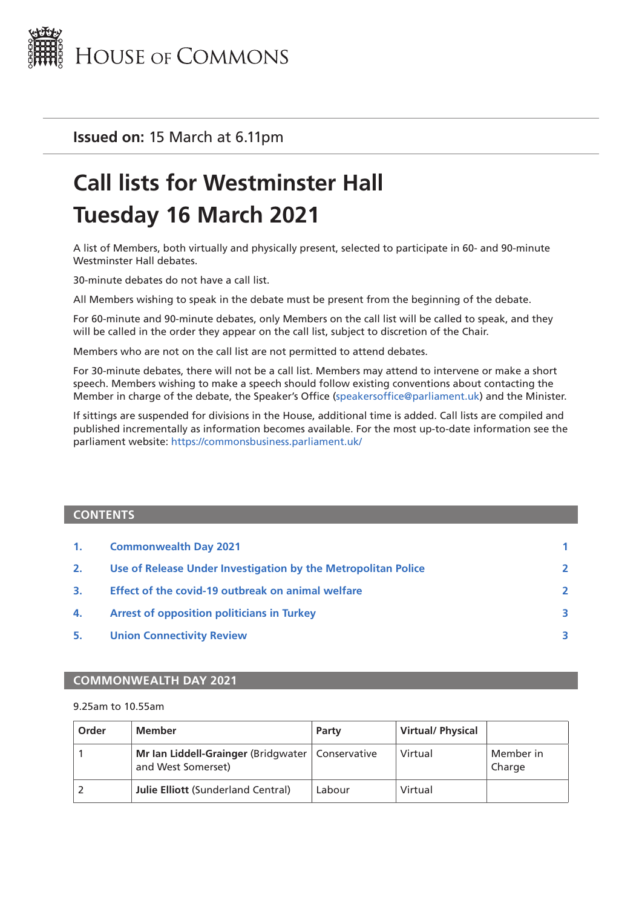

**Issued on:** 15 March at 6.11pm

# **Call lists for Westminster Hall Tuesday 16 March 2021**

A list of Members, both virtually and physically present, selected to participate in 60- and 90-minute Westminster Hall debates.

30-minute debates do not have a call list.

All Members wishing to speak in the debate must be present from the beginning of the debate.

For 60-minute and 90-minute debates, only Members on the call list will be called to speak, and they will be called in the order they appear on the call list, subject to discretion of the Chair.

Members who are not on the call list are not permitted to attend debates.

For 30-minute debates, there will not be a call list. Members may attend to intervene or make a short speech. Members wishing to make a speech should follow existing conventions about contacting the Member in charge of the debate, the Speaker's Office ([speakersoffice@parliament.uk\)](mailto:speakersoffice%40parliament.uk?subject=) and the Minister.

If sittings are suspended for divisions in the House, additional time is added. Call lists are compiled and published incrementally as information becomes available. For the most up-to-date information see the parliament website: <https://commonsbusiness.parliament.uk/>

## **CONTENTS**

| <b>Commonwealth Day 2021</b>                                  |              |
|---------------------------------------------------------------|--------------|
| Use of Release Under Investigation by the Metropolitan Police | $\mathbf{z}$ |
| Effect of the covid-19 outbreak on animal welfare             | $\mathbf{z}$ |
| <b>Arrest of opposition politicians in Turkey</b>             | 3            |
| <b>Union Connectivity Review</b>                              | 3            |
|                                                               |              |

#### **COMMONWEALTH DAY 2021**

#### 9.25am to 10.55am

| Order | Member                                                                   | Party  | <b>Virtual/ Physical</b> |                     |
|-------|--------------------------------------------------------------------------|--------|--------------------------|---------------------|
|       | Mr Ian Liddell-Grainger (Bridgwater   Conservative<br>and West Somerset) |        | Virtual                  | Member in<br>Charge |
|       | <b>Julie Elliott (Sunderland Central)</b>                                | Labour | Virtual                  |                     |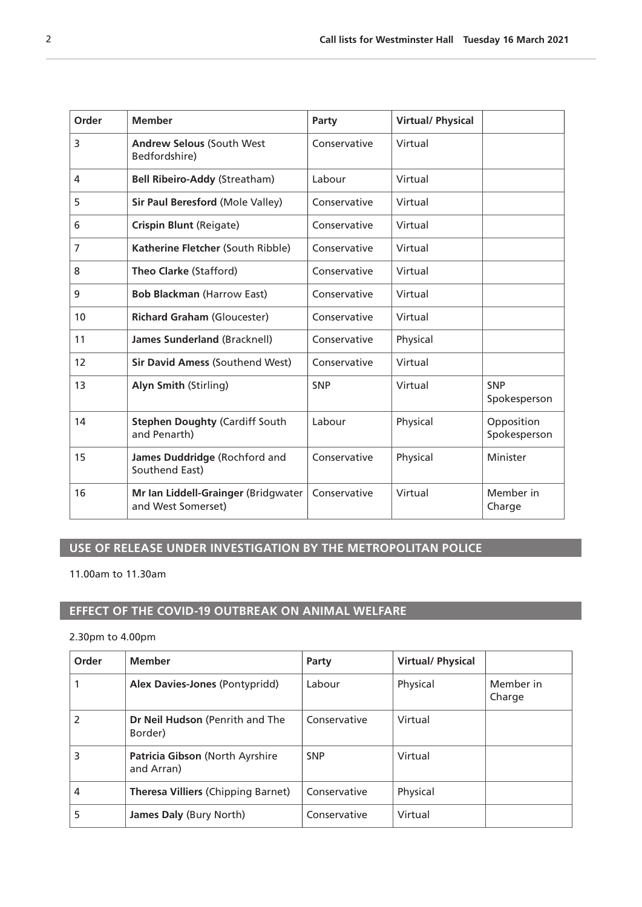<span id="page-1-0"></span>

| Order | <b>Member</b>                                             | Party        | <b>Virtual/ Physical</b> |                            |
|-------|-----------------------------------------------------------|--------------|--------------------------|----------------------------|
| 3     | <b>Andrew Selous (South West</b><br>Bedfordshire)         | Conservative | Virtual                  |                            |
| 4     | <b>Bell Ribeiro-Addy (Streatham)</b>                      | Labour       | Virtual                  |                            |
| 5     | Sir Paul Beresford (Mole Valley)                          | Conservative | Virtual                  |                            |
| 6     | Crispin Blunt (Reigate)                                   | Conservative | Virtual                  |                            |
| 7     | Katherine Fletcher (South Ribble)                         | Conservative | Virtual                  |                            |
| 8     | <b>Theo Clarke (Stafford)</b>                             | Conservative | Virtual                  |                            |
| 9     | <b>Bob Blackman (Harrow East)</b>                         | Conservative | Virtual                  |                            |
| 10    | <b>Richard Graham (Gloucester)</b>                        | Conservative | Virtual                  |                            |
| 11    | James Sunderland (Bracknell)                              | Conservative | Physical                 |                            |
| 12    | <b>Sir David Amess (Southend West)</b>                    | Conservative | Virtual                  |                            |
| 13    | <b>Alyn Smith (Stirling)</b>                              | <b>SNP</b>   | Virtual                  | <b>SNP</b><br>Spokesperson |
| 14    | <b>Stephen Doughty (Cardiff South</b><br>and Penarth)     | Labour       | Physical                 | Opposition<br>Spokesperson |
| 15    | James Duddridge (Rochford and<br>Southend East)           | Conservative | Physical                 | Minister                   |
| 16    | Mr Ian Liddell-Grainger (Bridgwater<br>and West Somerset) | Conservative | Virtual                  | Member in<br>Charge        |

## **USE OF RELEASE UNDER INVESTIGATION BY THE METROPOLITAN POLICE**

11.00am to 11.30am

## **EFFECT OF THE COVID-19 OUTBREAK ON ANIMAL WELFARE**

#### 2.30pm to 4.00pm

| Order | <b>Member</b>                                         | Party        | <b>Virtual/Physical</b> |                     |
|-------|-------------------------------------------------------|--------------|-------------------------|---------------------|
|       | <b>Alex Davies-Jones (Pontypridd)</b>                 | Labour       | Physical                | Member in<br>Charge |
|       | Dr Neil Hudson (Penrith and The<br>Border)            | Conservative | Virtual                 |                     |
| 3     | <b>Patricia Gibson (North Ayrshire)</b><br>and Arran) | <b>SNP</b>   | Virtual                 |                     |
| 4     | <b>Theresa Villiers (Chipping Barnet)</b>             | Conservative | Physical                |                     |
| 5     | James Daly (Bury North)                               | Conservative | Virtual                 |                     |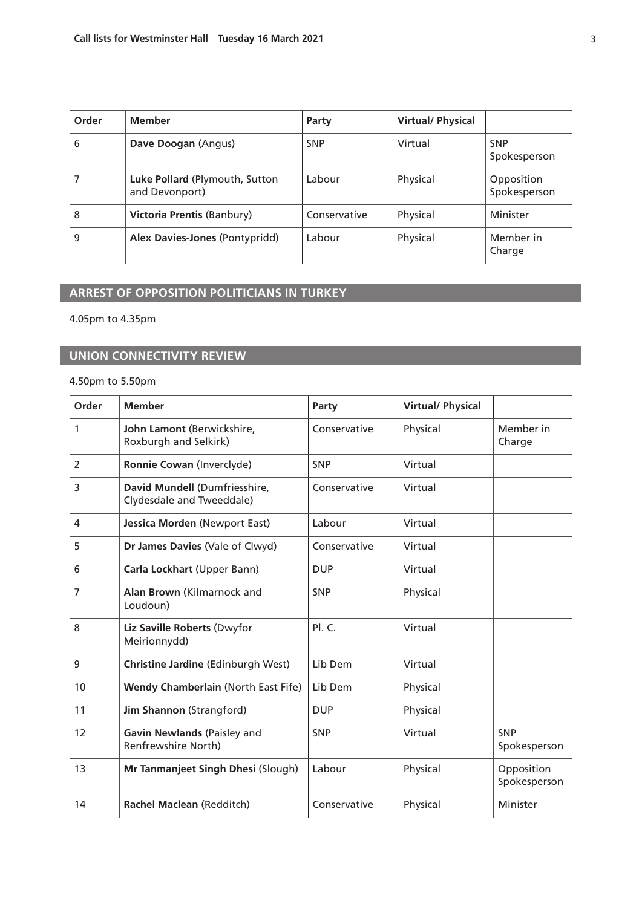<span id="page-2-0"></span>

| Order | <b>Member</b>                                    | Party        | <b>Virtual/Physical</b> |                            |
|-------|--------------------------------------------------|--------------|-------------------------|----------------------------|
| 6     | Dave Doogan (Angus)                              | <b>SNP</b>   | Virtual                 | <b>SNP</b><br>Spokesperson |
|       | Luke Pollard (Plymouth, Sutton<br>and Devonport) | Labour       | Physical                | Opposition<br>Spokesperson |
| 8     | <b>Victoria Prentis (Banbury)</b>                | Conservative | Physical                | Minister                   |
| 9     | Alex Davies-Jones (Pontypridd)                   | Labour       | Physical                | Member in<br>Charge        |

# **ARREST OF OPPOSITION POLITICIANS IN TURKEY**

### 4.05pm to 4.35pm

# **UNION CONNECTIVITY REVIEW**

#### 4.50pm to 5.50pm

| Order | <b>Member</b>                                              | Party         | <b>Virtual/ Physical</b> |                            |
|-------|------------------------------------------------------------|---------------|--------------------------|----------------------------|
| 1     | John Lamont (Berwickshire,<br>Roxburgh and Selkirk)        | Conservative  | Physical                 | Member in<br>Charge        |
| 2     | Ronnie Cowan (Inverclyde)                                  | <b>SNP</b>    | Virtual                  |                            |
| 3     | David Mundell (Dumfriesshire,<br>Clydesdale and Tweeddale) | Conservative  | Virtual                  |                            |
| 4     | Jessica Morden (Newport East)                              | Labour        | Virtual                  |                            |
| 5     | Dr James Davies (Vale of Clwyd)                            | Conservative  | Virtual                  |                            |
| 6     | Carla Lockhart (Upper Bann)                                | <b>DUP</b>    | Virtual                  |                            |
| 7     | Alan Brown (Kilmarnock and<br>Loudoun)                     | <b>SNP</b>    | Physical                 |                            |
| 8     | Liz Saville Roberts (Dwyfor<br>Meirionnydd)                | <b>PI. C.</b> | Virtual                  |                            |
| 9     | Christine Jardine (Edinburgh West)                         | Lib Dem       | Virtual                  |                            |
| 10    | <b>Wendy Chamberlain (North East Fife)</b>                 | Lib Dem       | Physical                 |                            |
| 11    | Jim Shannon (Strangford)                                   | <b>DUP</b>    | Physical                 |                            |
| 12    | <b>Gavin Newlands (Paisley and</b><br>Renfrewshire North)  | <b>SNP</b>    | Virtual                  | <b>SNP</b><br>Spokesperson |
| 13    | Mr Tanmanjeet Singh Dhesi (Slough)                         | Labour        | Physical                 | Opposition<br>Spokesperson |
| 14    | Rachel Maclean (Redditch)                                  | Conservative  | Physical                 | Minister                   |